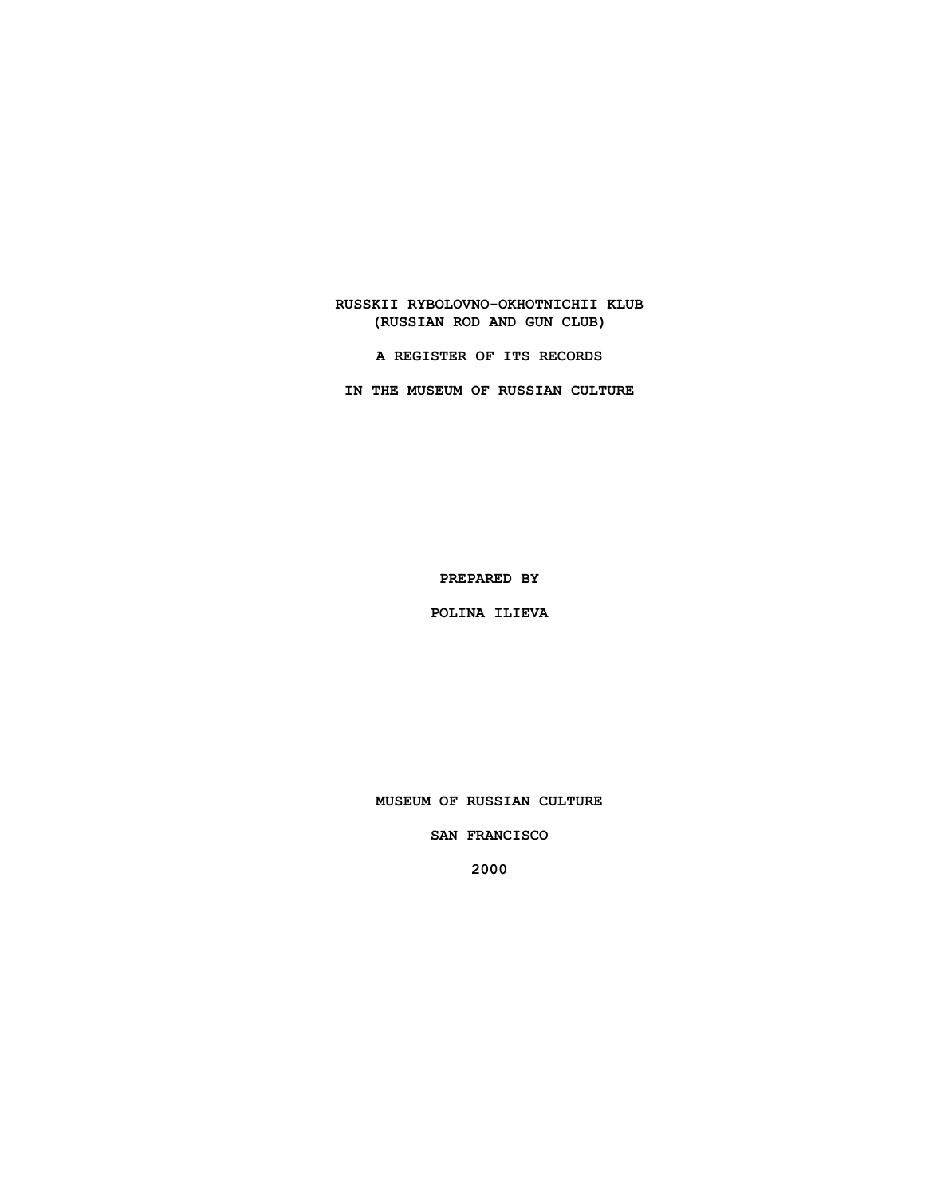**RUSSKII RYBOLOVNO-OKHOTNICHII KLUB (RUSSIAN ROD AND GUN CLUB)**

**A REGISTER OF ITS RECORDS**

**IN THE MUSEUM OF RUSSIAN CULTURE**

**PREPARED BY**

**POLINA ILIEVA**

**MUSEUM OF RUSSIAN CULTURE**

**SAN FRANCISCO**

**2000**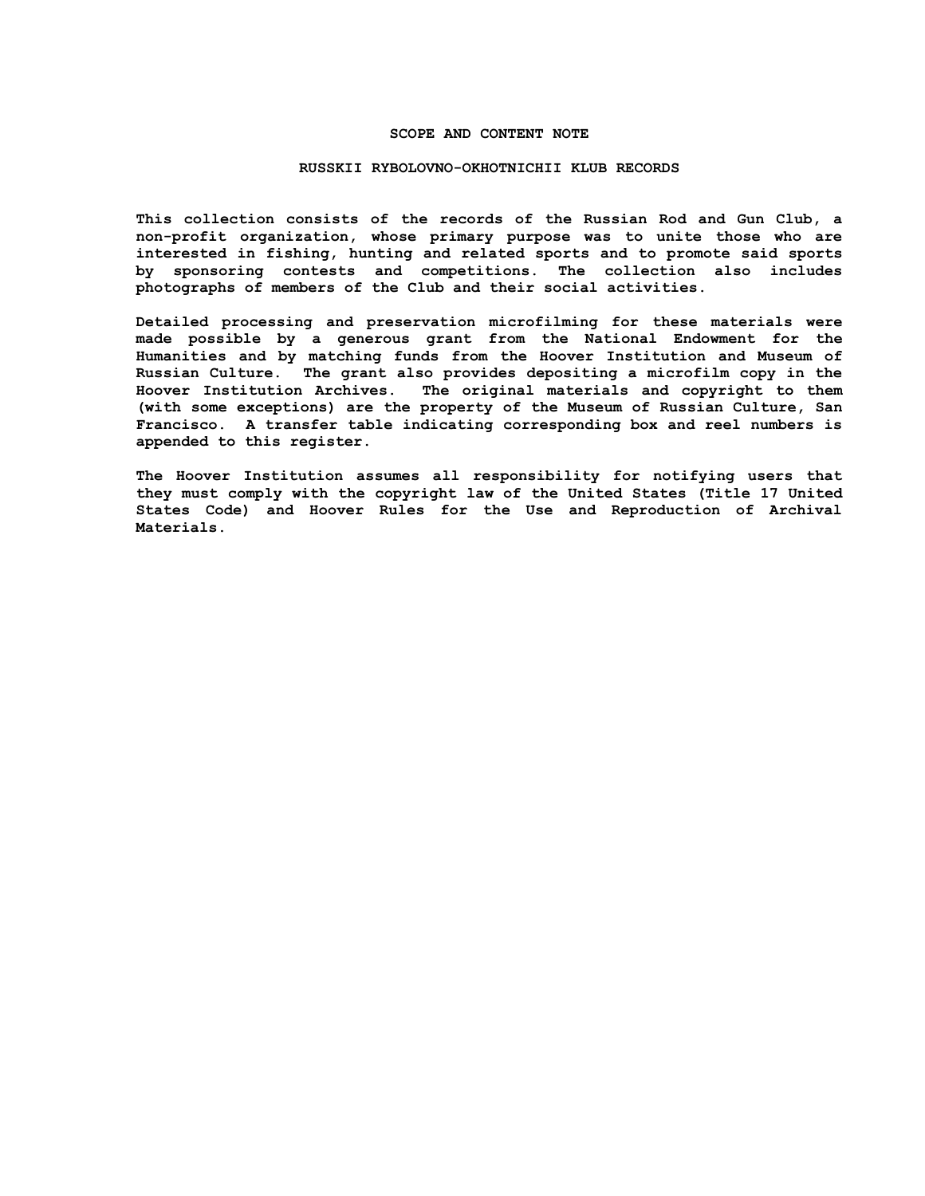#### **SCOPE AND CONTENT NOTE**

#### **RUSSKII RYBOLOVNO-OKHOTNICHII KLUB RECORDS**

**This collection consists of the records of the Russian Rod and Gun Club, a non-profit organization, whose primary purpose was to unite those who are interested in fishing, hunting and related sports and to promote said sports by sponsoring contests and competitions. The collection also includes photographs of members of the Club and their social activities.**

**Detailed processing and preservation microfilming for these materials were made possible by a generous grant from the National Endowment for the Humanities and by matching funds from the Hoover Institution and Museum of Russian Culture. The grant also provides depositing a microfilm copy in the Hoover Institution Archives. The original materials and copyright to them (with some exceptions) are the property of the Museum of Russian Culture, San Francisco. A transfer table indicating corresponding box and reel numbers is appended to this register.**

**The Hoover Institution assumes all responsibility for notifying users that they must comply with the copyright law of the United States (Title 17 United States Code) and Hoover Rules for the Use and Reproduction of Archival Materials.**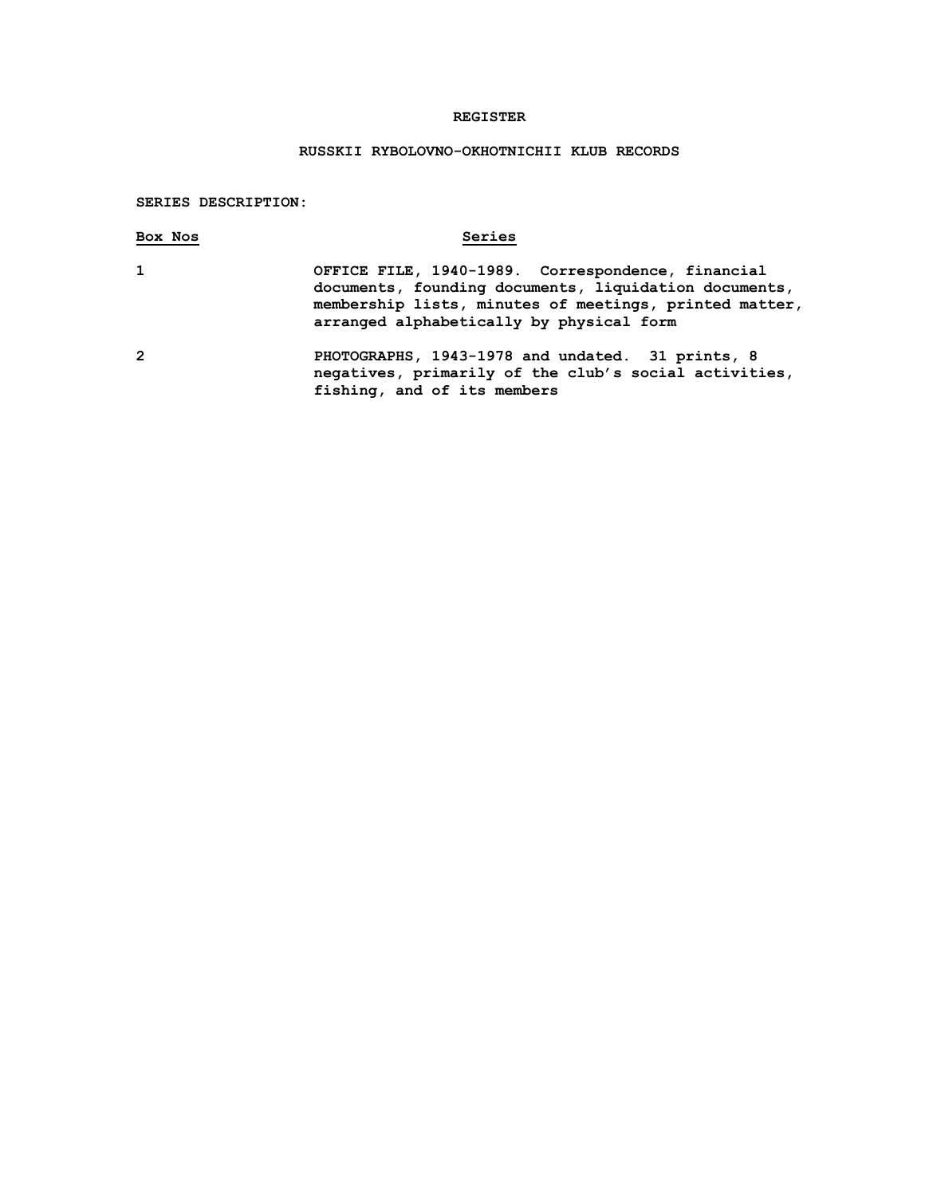## **REGISTER**

# **RUSSKII RYBOLOVNO-OKHOTNICHII KLUB RECORDS**

## **SERIES DESCRIPTION:**

| Box Nos        | Series                                                                                                                                                                                                           |
|----------------|------------------------------------------------------------------------------------------------------------------------------------------------------------------------------------------------------------------|
| $\mathbf{1}$   | OFFICE FILE, 1940-1989. Correspondence, financial<br>documents, founding documents, liquidation documents,<br>membership lists, minutes of meetings, printed matter,<br>arranged alphabetically by physical form |
| $\overline{2}$ | PHOTOGRAPHS, 1943-1978 and undated. 31 prints, 8<br>negatives, primarily of the club's social activities,                                                                                                        |

**fishing, and of its members**